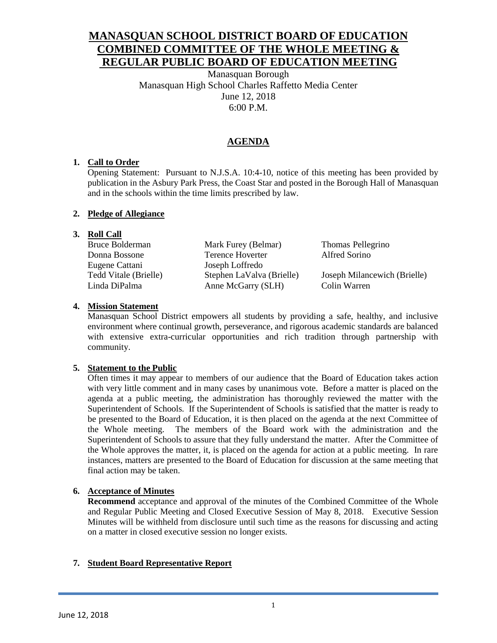# **MANASQUAN SCHOOL DISTRICT BOARD OF EDUCATION COMBINED COMMITTEE OF THE WHOLE MEETING & REGULAR PUBLIC BOARD OF EDUCATION MEETING**

Manasquan Borough Manasquan High School Charles Raffetto Media Center June 12, 2018 6:00 P.M.

# **AGENDA**

## **1. Call to Order**

Opening Statement: Pursuant to N.J.S.A. 10:4-10, notice of this meeting has been provided by publication in the Asbury Park Press, the Coast Star and posted in the Borough Hall of Manasquan and in the schools within the time limits prescribed by law.

## **2. Pledge of Allegiance**

## **3. Roll Call**

| Bruce Bolderman       | Mark Furey (Belmar)       | Thomas Pellegrino            |
|-----------------------|---------------------------|------------------------------|
| Donna Bossone         | Terence Hoverter          | Alfred Sorino                |
| Eugene Cattani        | Joseph Loffredo           |                              |
| Tedd Vitale (Brielle) | Stephen LaValva (Brielle) | Joseph Milancewich (Brielle) |
| Linda DiPalma         | Anne McGarry (SLH)        | Colin Warren                 |

#### **4. Mission Statement**

Manasquan School District empowers all students by providing a safe, healthy, and inclusive environment where continual growth, perseverance, and rigorous academic standards are balanced with extensive extra-curricular opportunities and rich tradition through partnership with community.

#### **5. Statement to the Public**

Often times it may appear to members of our audience that the Board of Education takes action with very little comment and in many cases by unanimous vote. Before a matter is placed on the agenda at a public meeting, the administration has thoroughly reviewed the matter with the Superintendent of Schools. If the Superintendent of Schools is satisfied that the matter is ready to be presented to the Board of Education, it is then placed on the agenda at the next Committee of the Whole meeting. The members of the Board work with the administration and the Superintendent of Schools to assure that they fully understand the matter. After the Committee of the Whole approves the matter, it, is placed on the agenda for action at a public meeting. In rare instances, matters are presented to the Board of Education for discussion at the same meeting that final action may be taken.

# **6. Acceptance of Minutes**

**Recommend** acceptance and approval of the minutes of the Combined Committee of the Whole and Regular Public Meeting and Closed Executive Session of May 8, 2018. Executive Session Minutes will be withheld from disclosure until such time as the reasons for discussing and acting on a matter in closed executive session no longer exists.

#### **7. Student Board Representative Report**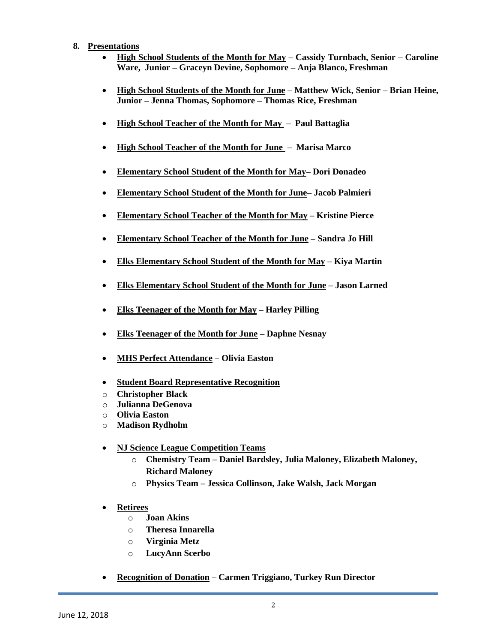- **8. Presentations**
	- **High School Students of the Month for May – Cassidy Turnbach, Senior – Caroline Ware, Junior – Graceyn Devine, Sophomore – Anja Blanco, Freshman**
	- **High School Students of the Month for June – Matthew Wick, Senior – Brian Heine, Junior – Jenna Thomas, Sophomore – Thomas Rice, Freshman**
	- **High School Teacher of the Month for May Paul Battaglia**
	- **High School Teacher of the Month for June Marisa Marco**
	- **Elementary School Student of the Month for May– Dori Donadeo**
	- **Elementary School Student of the Month for June– Jacob Palmieri**
	- **Elementary School Teacher of the Month for May – Kristine Pierce**
	- **Elementary School Teacher of the Month for June – Sandra Jo Hill**
	- **Elks Elementary School Student of the Month for May – Kiya Martin**
	- **Elks Elementary School Student of the Month for June – Jason Larned**
	- **Elks Teenager of the Month for May – Harley Pilling**
	- **Elks Teenager of the Month for June – Daphne Nesnay**
	- **MHS Perfect Attendance – Olivia Easton**
	- **Student Board Representative Recognition**
	- o **Christopher Black**
	- o **Julianna DeGenova**
	- o **Olivia Easton**
	- o **Madison Rydholm**
	- **NJ Science League Competition Teams**
		- o **Chemistry Team – Daniel Bardsley, Julia Maloney, Elizabeth Maloney, Richard Maloney**
		- o **Physics Team – Jessica Collinson, Jake Walsh, Jack Morgan**
	- **Retirees**
		- o **Joan Akins**
		- o **Theresa Innarella**
		- o **Virginia Metz**
		- o **LucyAnn Scerbo**
	- **Recognition of Donation – Carmen Triggiano, Turkey Run Director**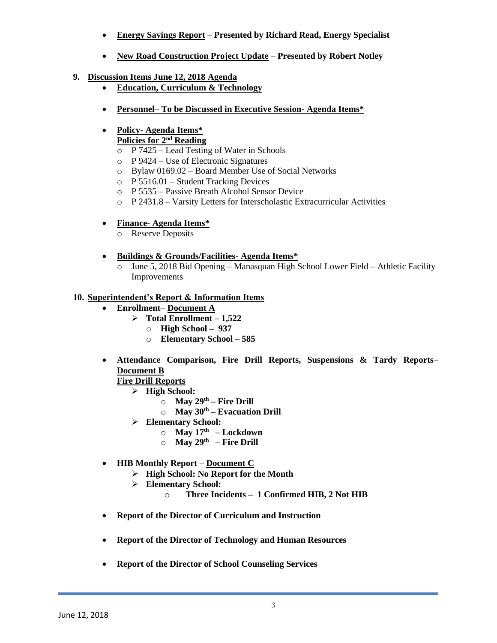- **Energy Savings Report Presented by Richard Read, Energy Specialist**
- **New Road Construction Project Update Presented by Robert Notley**
- **9. Discussion Items June 12, 2018 Agenda**
	- **Education, Curriculum & Technology**
	- **Personnel– To be Discussed in Executive Session- Agenda Items\***
	- **Policy- Agenda Items\* Policies for 2<sup>nd</sup> Reading** 
		- o P 7425 Lead Testing of Water in Schools
		- o P 9424 Use of Electronic Signatures
		- o Bylaw 0169.02 Board Member Use of Social Networks
		- o P 5516.01 Student Tracking Devices
		- o P 5535 Passive Breath Alcohol Sensor Device
		- o P 2431.8 Varsity Letters for Interscholastic Extracurricular Activities
	- **Finance- Agenda Items\***
		- o Reserve Deposits
	- **Buildings & Grounds/Facilities- Agenda Items\***
		- o June 5, 2018 Bid Opening Manasquan High School Lower Field Athletic Facility Improvements

## **10. Superintendent's Report & Information Items**

- **Enrollment Document A**
	- **Total Enrollment – 1,522**
		- o **High School 937**
		- o **Elementary School – 585**
- **Attendance Comparison, Fire Drill Reports, Suspensions & Tardy Reports Document B**

#### **Fire Drill Reports**

- **High School:**
	- o **May 29th – Fire Drill**
	- o **May 30th – Evacuation Drill**
	- **Elementary School:**
		- o **May 17th – Lockdown**
		- o **May 29th – Fire Drill**
- **HIB Monthly Report Document C**
	- **High School: No Report for the Month**
	- **Elementary School:**
		- o **Three Incidents 1 Confirmed HIB, 2 Not HIB**
- **Report of the Director of Curriculum and Instruction**
- **Report of the Director of Technology and Human Resources**
- **Report of the Director of School Counseling Services**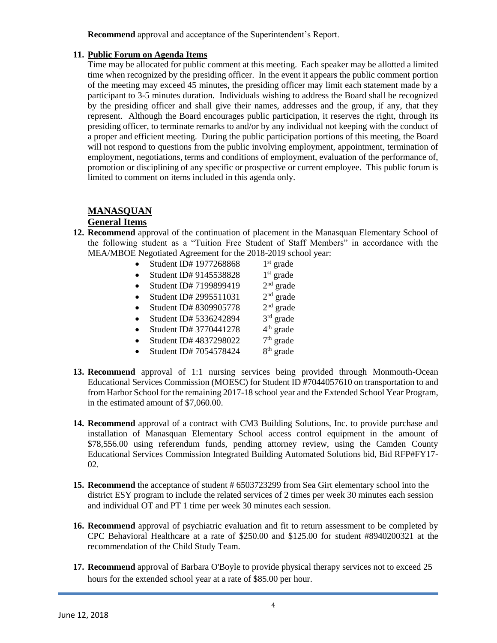**Recommend** approval and acceptance of the Superintendent's Report.

#### **11. Public Forum on Agenda Items**

Time may be allocated for public comment at this meeting. Each speaker may be allotted a limited time when recognized by the presiding officer. In the event it appears the public comment portion of the meeting may exceed 45 minutes, the presiding officer may limit each statement made by a participant to 3-5 minutes duration. Individuals wishing to address the Board shall be recognized by the presiding officer and shall give their names, addresses and the group, if any, that they represent. Although the Board encourages public participation, it reserves the right, through its presiding officer, to terminate remarks to and/or by any individual not keeping with the conduct of a proper and efficient meeting. During the public participation portions of this meeting, the Board will not respond to questions from the public involving employment, appointment, termination of employment, negotiations, terms and conditions of employment, evaluation of the performance of, promotion or disciplining of any specific or prospective or current employee. This public forum is limited to comment on items included in this agenda only.

# **MANASQUAN**

## **General Items**

- **12. Recommend** approval of the continuation of placement in the Manasquan Elementary School of the following student as a "Tuition Free Student of Staff Members" in accordance with the MEA/MBOE Negotiated Agreement for the 2018-2019 school year:
	- $\bullet$  Student ID# 1977268868  $1<sup>st</sup>$  grade
	- $\bullet$  Student ID# 9145538828  $1<sup>st</sup>$  grade
	- Student ID# 7199899419  $2<sup>nd</sup>$  grade
	- $\bullet$  Student ID# 2995511031  $2<sup>nd</sup>$  grade
	- Student ID# 8309905778 2  $2<sup>nd</sup>$  grade
	- $\bullet$  Student ID# 5336242894  $3<sup>rd</sup>$  grade
	- Student ID# 3770441278  $4<sup>th</sup>$  grade
	- Student ID# 4837298022 7  $7<sup>th</sup>$  grade
	- Student ID# 7054578424  $8<sup>th</sup>$  grade
- **13. Recommend** approval of 1:1 nursing services being provided through Monmouth-Ocean Educational Services Commission (MOESC) for Student ID **#**7044057610 on transportation to and from Harbor School for the remaining 2017-18 school year and the Extended School Year Program, in the estimated amount of \$7,060.00.
- **14. Recommend** approval of a contract with CM3 Building Solutions, Inc. to provide purchase and installation of Manasquan Elementary School access control equipment in the amount of \$78,556.00 using referendum funds, pending attorney review, using the Camden County Educational Services Commission Integrated Building Automated Solutions bid, Bid RFP#FY17- 02.
- **15. Recommend** the acceptance of student # 6503723299 from Sea Girt elementary school into the district ESY program to include the related services of 2 times per week 30 minutes each session and individual OT and PT 1 time per week 30 minutes each session.
- **16. Recommend** approval of psychiatric evaluation and fit to return assessment to be completed by CPC Behavioral Healthcare at a rate of \$250.00 and \$125.00 for student #8940200321 at the recommendation of the Child Study Team.
- **17. Recommend** approval of Barbara O'Boyle to provide physical therapy services not to exceed 25 hours for the extended school year at a rate of \$85.00 per hour.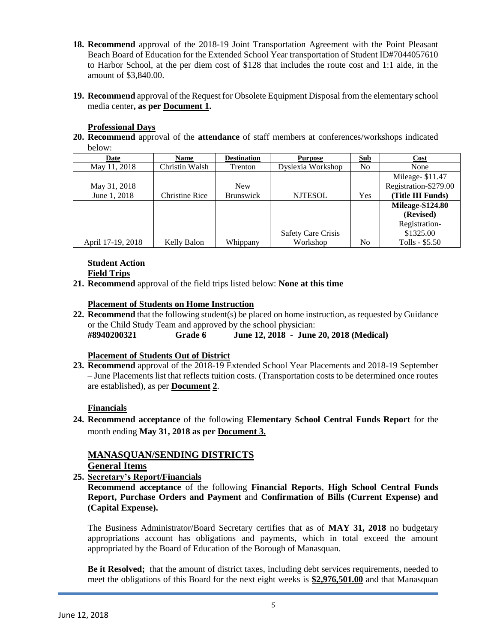- **18. Recommend** approval of the 2018-19 Joint Transportation Agreement with the Point Pleasant Beach Board of Education for the Extended School Year transportation of Student ID#7044057610 to Harbor School, at the per diem cost of \$128 that includes the route cost and 1:1 aide, in the amount of \$3,840.00.
- **19. Recommend** approval of the Request for Obsolete Equipment Disposal from the elementary school media center**, as per Document 1.**

#### **Professional Days**

**20. Recommend** approval of the **attendance** of staff members at conferences/workshops indicated below:

| Date              | Name                  | <b>Destination</b> | <b>Purpose</b>            | Sub            | Cost                    |
|-------------------|-----------------------|--------------------|---------------------------|----------------|-------------------------|
| May 11, 2018      | Christin Walsh        | Trenton            | Dyslexia Workshop         | N <sub>0</sub> | None                    |
|                   |                       |                    |                           |                | Mileage-\$11.47         |
| May 31, 2018      |                       | <b>New</b>         |                           |                | Registration-\$279.00   |
| June 1, 2018      | <b>Christine Rice</b> | <b>Brunswick</b>   | <b>NJTESOL</b>            | Yes            | (Title III Funds)       |
|                   |                       |                    |                           |                | <b>Mileage-\$124.80</b> |
|                   |                       |                    |                           |                | (Revised)               |
|                   |                       |                    |                           |                | Registration-           |
|                   |                       |                    | <b>Safety Care Crisis</b> |                | \$1325.00               |
| April 17-19, 2018 | Kelly Balon           | Whippany           | Workshop                  | N <sub>0</sub> | Tolls - \$5.50          |

# **Student Action**

# **Field Trips**

**21. Recommend** approval of the field trips listed below: **None at this time**

#### **Placement of Students on Home Instruction**

**22. Recommend** that the following student(s) be placed on home instruction, as requested by Guidance or the Child Study Team and approved by the school physician: **#8940200321 Grade 6 June 12, 2018 - June 20, 2018 (Medical)**

#### **Placement of Students Out of District**

**23. Recommend** approval of the 2018-19 Extended School Year Placements and 2018-19 September – June Placements list that reflects tuition costs. (Transportation costs to be determined once routes are established), as per **Document 2**.

#### **Financials**

**24. Recommend acceptance** of the following **Elementary School Central Funds Report** for the month ending **May 31, 2018 as per Document 3.**

# **MANASQUAN/SENDING DISTRICTS**

#### **General Items**

**25. Secretary's Report/Financials**

**Recommend acceptance** of the following **Financial Reports**, **High School Central Funds Report, Purchase Orders and Payment** and **Confirmation of Bills (Current Expense) and (Capital Expense).**

The Business Administrator/Board Secretary certifies that as of **MAY 31, 2018** no budgetary appropriations account has obligations and payments, which in total exceed the amount appropriated by the Board of Education of the Borough of Manasquan.

**Be it Resolved;** that the amount of district taxes, including debt services requirements, needed to meet the obligations of this Board for the next eight weeks is **\$2,976,501.00** and that Manasquan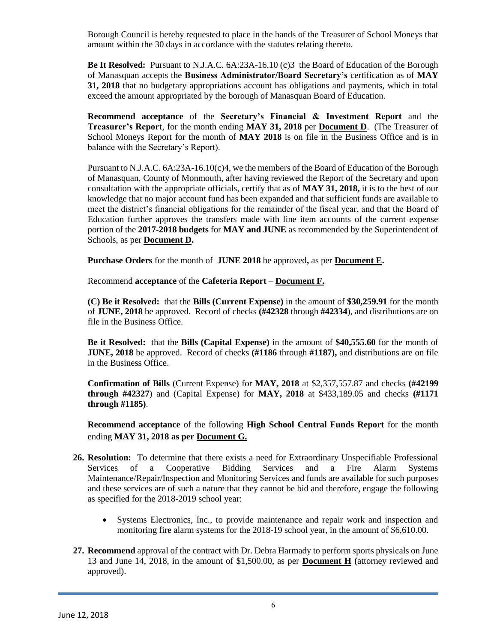Borough Council is hereby requested to place in the hands of the Treasurer of School Moneys that amount within the 30 days in accordance with the statutes relating thereto.

**Be It Resolved:** Pursuant to N.J.A.C. 6A:23A-16.10 (c)3 the Board of Education of the Borough of Manasquan accepts the **Business Administrator/Board Secretary's** certification as of **MAY 31, 2018** that no budgetary appropriations account has obligations and payments, which in total exceed the amount appropriated by the borough of Manasquan Board of Education.

**Recommend acceptance** of the **Secretary's Financial & Investment Report** and the **Treasurer's Report**, for the month ending **MAY 31, 2018** per **Document D**. (The Treasurer of School Moneys Report for the month of **MAY 2018** is on file in the Business Office and is in balance with the Secretary's Report).

Pursuant to N.J.A.C. 6A:23A-16.10(c)4, we the members of the Board of Education of the Borough of Manasquan, County of Monmouth, after having reviewed the Report of the Secretary and upon consultation with the appropriate officials, certify that as of **MAY 31, 2018,** it is to the best of our knowledge that no major account fund has been expanded and that sufficient funds are available to meet the district's financial obligations for the remainder of the fiscal year, and that the Board of Education further approves the transfers made with line item accounts of the current expense portion of the **2017-2018 budgets** for **MAY and JUNE** as recommended by the Superintendent of Schools, as per **Document D.**

**Purchase Orders** for the month of **JUNE 2018** be approved**,** as per **Document E.**

Recommend **acceptance** of the **Cafeteria Report** – **Document F.**

**(C) Be it Resolved:** that the **Bills (Current Expense)** in the amount of **\$30,259.91** for the month of **JUNE, 2018** be approved. Record of checks **(#42328** through **#42334**), and distributions are on file in the Business Office.

**Be it Resolved:** that the **Bills (Capital Expense)** in the amount of **\$40,555.60** for the month of **JUNE, 2018** be approved. Record of checks **(#1186** through **#1187),** and distributions are on file in the Business Office.

**Confirmation of Bills** (Current Expense) for **MAY, 2018** at \$2,357,557.87 and checks **(#42199 through #42327**) and (Capital Expense) for **MAY, 2018** at \$433,189.05 and checks **(#1171 through #1185)**.

**Recommend acceptance** of the following **High School Central Funds Report** for the month ending **MAY 31, 2018 as per Document G.**

- **26. Resolution:** To determine that there exists a need for Extraordinary Unspecifiable Professional Services of a Cooperative Bidding Services and a Fire Alarm Systems Maintenance/Repair/Inspection and Monitoring Services and funds are available for such purposes and these services are of such a nature that they cannot be bid and therefore, engage the following as specified for the 2018-2019 school year:
	- Systems Electronics, Inc., to provide maintenance and repair work and inspection and monitoring fire alarm systems for the 2018-19 school year, in the amount of \$6,610.00.
- **27. Recommend** approval of the contract with Dr. Debra Harmady to perform sports physicals on June 13 and June 14, 2018, in the amount of \$1,500.00, as per **Document H (**attorney reviewed and approved).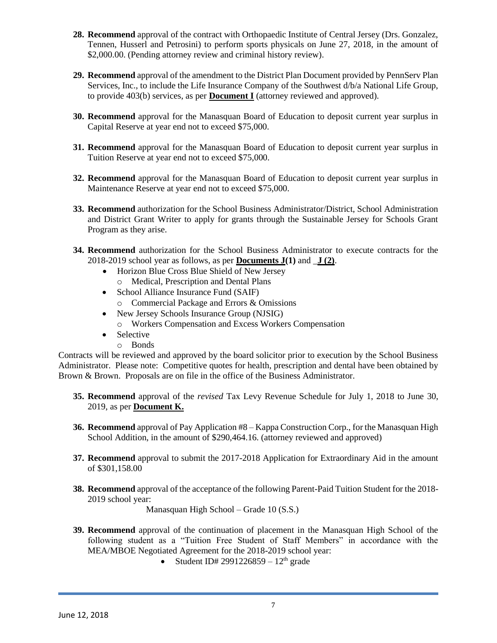- **28. Recommend** approval of the contract with Orthopaedic Institute of Central Jersey (Drs. Gonzalez, Tennen, Husserl and Petrosini) to perform sports physicals on June 27, 2018, in the amount of \$2,000.00. (Pending attorney review and criminal history review).
- **29. Recommend** approval of the amendment to the District Plan Document provided by PennServ Plan Services, Inc., to include the Life Insurance Company of the Southwest d/b/a National Life Group, to provide 403(b) services, as per **Document I** (attorney reviewed and approved).
- **30. Recommend** approval for the Manasquan Board of Education to deposit current year surplus in Capital Reserve at year end not to exceed \$75,000.
- **31. Recommend** approval for the Manasquan Board of Education to deposit current year surplus in Tuition Reserve at year end not to exceed \$75,000.
- **32. Recommend** approval for the Manasquan Board of Education to deposit current year surplus in Maintenance Reserve at year end not to exceed \$75,000.
- **33. Recommend** authorization for the School Business Administrator/District, School Administration and District Grant Writer to apply for grants through the Sustainable Jersey for Schools Grant Program as they arise.
- **34. Recommend** authorization for the School Business Administrator to execute contracts for the 2018-2019 school year as follows, as per **Documents J(1)** and \_**J (2)**.
	- Horizon Blue Cross Blue Shield of New Jersey o Medical, Prescription and Dental Plans
	- School Alliance Insurance Fund (SAIF)
		- o Commercial Package and Errors & Omissions
	- New Jersey Schools Insurance Group (NJSIG)
		- o Workers Compensation and Excess Workers Compensation
	- Selective
	- o Bonds

Contracts will be reviewed and approved by the board solicitor prior to execution by the School Business Administrator. Please note: Competitive quotes for health, prescription and dental have been obtained by Brown & Brown. Proposals are on file in the office of the Business Administrator.

- **35. Recommend** approval of the *revised* Tax Levy Revenue Schedule for July 1, 2018 to June 30, 2019, as per **Document K.**
- **36. Recommend** approval of Pay Application #8 Kappa Construction Corp., for the Manasquan High School Addition, in the amount of \$290,464.16. (attorney reviewed and approved)
- **37. Recommend** approval to submit the 2017-2018 Application for Extraordinary Aid in the amount of \$301,158.00
- **38. Recommend** approval of the acceptance of the following Parent-Paid Tuition Student for the 2018- 2019 school year:

Manasquan High School – Grade 10 (S.S.)

- **39. Recommend** approval of the continuation of placement in the Manasquan High School of the following student as a "Tuition Free Student of Staff Members" in accordance with the MEA/MBOE Negotiated Agreement for the 2018-2019 school year:
	- Student ID# 2991226859  $12<sup>th</sup>$  grade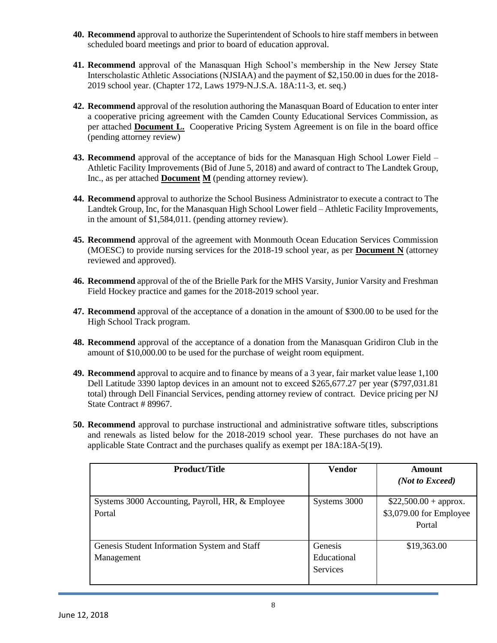- **40. Recommend** approval to authorize the Superintendent of Schools to hire staff members in between scheduled board meetings and prior to board of education approval.
- **41. Recommend** approval of the Manasquan High School's membership in the New Jersey State Interscholastic Athletic Associations (NJSIAA) and the payment of \$2,150.00 in dues for the 2018- 2019 school year. (Chapter 172, Laws 1979-N.J.S.A. 18A:11-3, et. seq.)
- **42. Recommend** approval of the resolution authoring the Manasquan Board of Education to enter inter a cooperative pricing agreement with the Camden County Educational Services Commission, as per attached **Document L.** Cooperative Pricing System Agreement is on file in the board office (pending attorney review)
- **43. Recommend** approval of the acceptance of bids for the Manasquan High School Lower Field Athletic Facility Improvements (Bid of June 5, 2018) and award of contract to The Landtek Group, Inc., as per attached **Document M** (pending attorney review).
- **44. Recommend** approval to authorize the School Business Administrator to execute a contract to The Landtek Group, Inc, for the Manasquan High School Lower field – Athletic Facility Improvements, in the amount of \$1,584,011. (pending attorney review).
- **45. Recommend** approval of the agreement with Monmouth Ocean Education Services Commission (MOESC) to provide nursing services for the 2018-19 school year, as per **Document N** (attorney reviewed and approved).
- **46. Recommend** approval of the of the Brielle Park for the MHS Varsity, Junior Varsity and Freshman Field Hockey practice and games for the 2018-2019 school year.
- **47. Recommend** approval of the acceptance of a donation in the amount of \$300.00 to be used for the High School Track program.
- **48. Recommend** approval of the acceptance of a donation from the Manasquan Gridiron Club in the amount of \$10,000.00 to be used for the purchase of weight room equipment.
- **49. Recommend** approval to acquire and to finance by means of a 3 year, fair market value lease 1,100 Dell Latitude 3390 laptop devices in an amount not to exceed \$265,677.27 per year (\$797,031.81 total) through Dell Financial Services, pending attorney review of contract. Device pricing per NJ State Contract # 89967.
- **50. Recommend** approval to purchase instructional and administrative software titles, subscriptions and renewals as listed below for the 2018-2019 school year. These purchases do not have an applicable State Contract and the purchases qualify as exempt per 18A:18A-5(19).

| <b>Product/Title</b>                                       | <b>Vendor</b>                             | Amount                                                      |  |
|------------------------------------------------------------|-------------------------------------------|-------------------------------------------------------------|--|
|                                                            |                                           | (Not to Exceed)                                             |  |
| Systems 3000 Accounting, Payroll, HR, & Employee<br>Portal | Systems 3000                              | $$22,500.00 + approx.$<br>\$3,079.00 for Employee<br>Portal |  |
| Genesis Student Information System and Staff<br>Management | Genesis<br>Educational<br><b>Services</b> | \$19,363.00                                                 |  |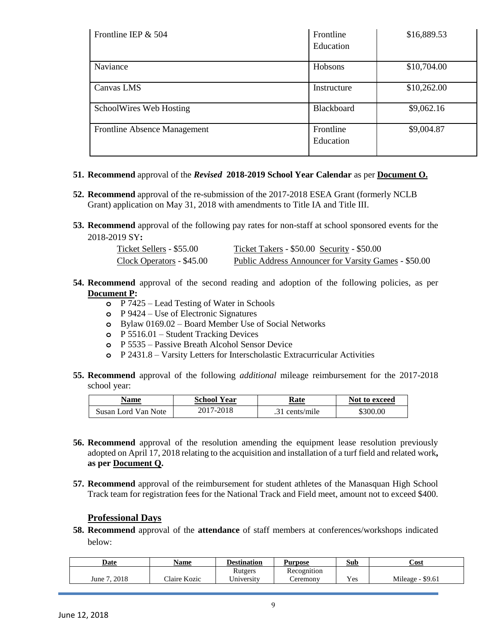| Frontline IEP $& 504$               | Frontline<br>Education | \$16,889.53 |
|-------------------------------------|------------------------|-------------|
| Naviance                            | Hobsons                | \$10,704.00 |
| Canvas LMS                          | Instructure            | \$10,262.00 |
| SchoolWires Web Hosting             | Blackboard             | \$9,062.16  |
| <b>Frontline Absence Management</b> | Frontline<br>Education | \$9,004.87  |

- **51. Recommend** approval of the *Revised* **2018-2019 School Year Calendar** as per **Document O.**
- **52. Recommend** approval of the re-submission of the 2017-2018 ESEA Grant (formerly NCLB Grant) application on May 31, 2018 with amendments to Title IA and Title III.
- **53. Recommend** approval of the following pay rates for non-staff at school sponsored events for the 2018-2019 SY**:**

| Ticket Sellers - \$55.00  | Ticket Takers - \$50.00 Security - \$50.00           |
|---------------------------|------------------------------------------------------|
| Clock Operators - \$45.00 | Public Address Announcer for Varsity Games - \$50.00 |

- **54. Recommend** approval of the second reading and adoption of the following policies, as per **Document P:**
	- **o** P 7425 Lead Testing of Water in Schools
	- **o** P 9424 Use of Electronic Signatures
	- **o** Bylaw 0169.02 Board Member Use of Social Networks
	- **o** P 5516.01 Student Tracking Devices
	- **o** P 5535 Passive Breath Alcohol Sensor Device
	- **o** P 2431.8 Varsity Letters for Interscholastic Extracurricular Activities
- **55. Recommend** approval of the following *additional* mileage reimbursement for the 2017-2018 school year:

| Name                | <b>School Year</b> | Rate       | Not to exceed |
|---------------------|--------------------|------------|---------------|
| Susan Lord Van Note | 2017-2018          | cents/mile | \$300.00      |

- **56. Recommend** approval of the resolution amending the equipment lease resolution previously adopted on April 17, 2018 relating to the acquisition and installation of a turf field and related work**, as per Document Q.**
- **57. Recommend** approval of the reimbursement for student athletes of the Manasquan High School Track team for registration fees for the National Track and Field meet, amount not to exceed \$400.

#### **Professional Days**

**58. Recommend** approval of the **attendance** of staff members at conferences/workshops indicated below:

| Date                      | Name                | <b>Destination</b> | Purpose     | Sub | ∠ost             |
|---------------------------|---------------------|--------------------|-------------|-----|------------------|
|                           |                     | Rutgers            | Recognition |     |                  |
| 2018<br>June <sup>'</sup> | <b>Tlaire Kozic</b> | Jniversity         | eremony     | Yes | Mileage - \$9.61 |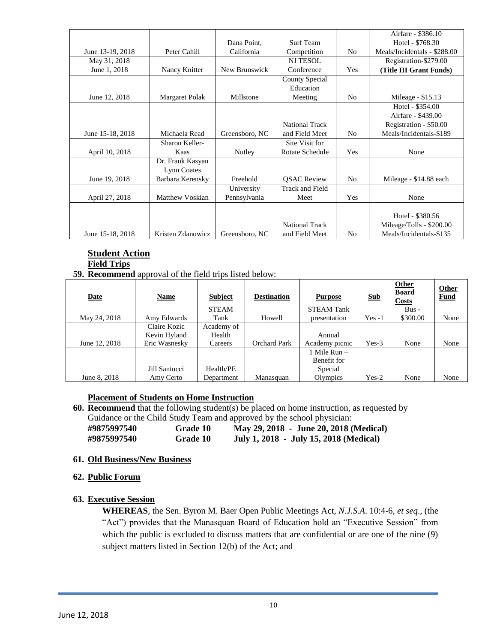|                  |                       |                |                        |                | Airfare - \$386.10           |
|------------------|-----------------------|----------------|------------------------|----------------|------------------------------|
|                  |                       | Dana Point.    | Surf Team              |                | Hotel - \$768.30             |
| June 13-19, 2018 | Peter Cahill          | California     | Competition            | N <sub>0</sub> | Meals/Incidentals - \$288.00 |
| May 31, 2018     |                       |                | <b>NJ TESOL</b>        |                | Registration-\$279.00        |
| June 1, 2018     | Nancy Knitter         | New Brunswick  | Conference             | Yes            | (Title III Grant Funds)      |
|                  |                       |                | County Special         |                |                              |
|                  |                       |                | Education              |                |                              |
| June 12, 2018    | <b>Margaret Polak</b> | Millstone      | Meeting                | N <sub>0</sub> | Mileage - \$15.13            |
|                  |                       |                |                        |                | Hotel - \$354.00             |
|                  |                       |                |                        |                | Airfare - \$439.00           |
|                  |                       |                | <b>National Track</b>  |                | Registration - \$50.00       |
| June 15-18, 2018 | Michaela Read         | Greensboro, NC | and Field Meet         | N <sub>0</sub> | Meals/Incidentals-\$189      |
|                  | Sharon Keller-        |                | Site Visit for         |                |                              |
| April 10, 2018   | Kaas                  | Nutley         | Rotate Schedule        | Yes            | None                         |
|                  | Dr. Frank Kasyan      |                |                        |                |                              |
|                  | Lynn Coates           |                |                        |                |                              |
| June 19, 2018    | Barbara Kerensky      | Freehold       | <b>QSAC</b> Review     | N <sub>0</sub> | Mileage - \$14.88 each       |
|                  |                       | University     | <b>Track and Field</b> |                |                              |
| April 27, 2018   | Matthew Voskian       | Pennsylvania   | Meet                   | Yes            | None                         |
|                  |                       |                |                        |                |                              |
|                  |                       |                |                        |                | Hotel - \$380.56             |
|                  |                       |                | <b>National Track</b>  |                | Mileage/Tolls - \$200.00     |
| June 15-18, 2018 | Kristen Zdanowicz     | Greensboro, NC | and Field Meet         | N <sub>0</sub> | Meals/Incidentals-\$135      |

# **Student Action Field Trips**

#### **59. Recommend** approval of the field trips listed below:

| Date          | <b>Name</b>   | <b>Subject</b> | <b>Destination</b>  | <b>Purpose</b>    | <b>Sub</b> | Other<br><b>Board</b><br>Costs | <b>Other</b><br><b>Fund</b> |
|---------------|---------------|----------------|---------------------|-------------------|------------|--------------------------------|-----------------------------|
|               |               | <b>STEAM</b>   |                     | <b>STEAM Tank</b> |            | $Bus -$                        |                             |
| May 24, 2018  | Amy Edwards   | Tank           | Howell              | presentation      | $Yes -1$   | \$300.00                       | None                        |
|               | Claire Kozic  | Academy of     |                     |                   |            |                                |                             |
|               | Kevin Hyland  | Health         |                     | Annual            |            |                                |                             |
| June 12, 2018 | Eric Wasnesky | Careers        | <b>Orchard Park</b> | Academy picnic    | $Yes-3$    | None                           | None                        |
|               |               |                |                     | 1 Mile $Run -$    |            |                                |                             |
|               |               |                |                     | Benefit for       |            |                                |                             |
|               | Jill Santucci | Health/PE      |                     | Special           |            |                                |                             |
| June 8, 2018  | Amy Certo     | Department     | Manasquan           | Olympics          | $Yes-2$    | None                           | None                        |

#### **Placement of Students on Home Instruction**

**60. Recommend** that the following student(s) be placed on home instruction, as requested by Guidance or the Child Study Team and approved by the school physician:

| #9875997540 | <b>Grade 10</b> | May 29, 2018 - June 20, 2018 (Medical) |
|-------------|-----------------|----------------------------------------|
| #9875997540 | <b>Grade 10</b> | July 1, 2018 - July 15, 2018 (Medical) |

#### **61. Old Business/New Business**

#### **62. Public Forum**

#### **63. Executive Session**

**WHEREAS**, the Sen. Byron M. Baer Open Public Meetings Act, *N.J.S.A*. 10:4-6, *et seq*., (the "Act") provides that the Manasquan Board of Education hold an "Executive Session" from which the public is excluded to discuss matters that are confidential or are one of the nine (9) subject matters listed in Section 12(b) of the Act; and